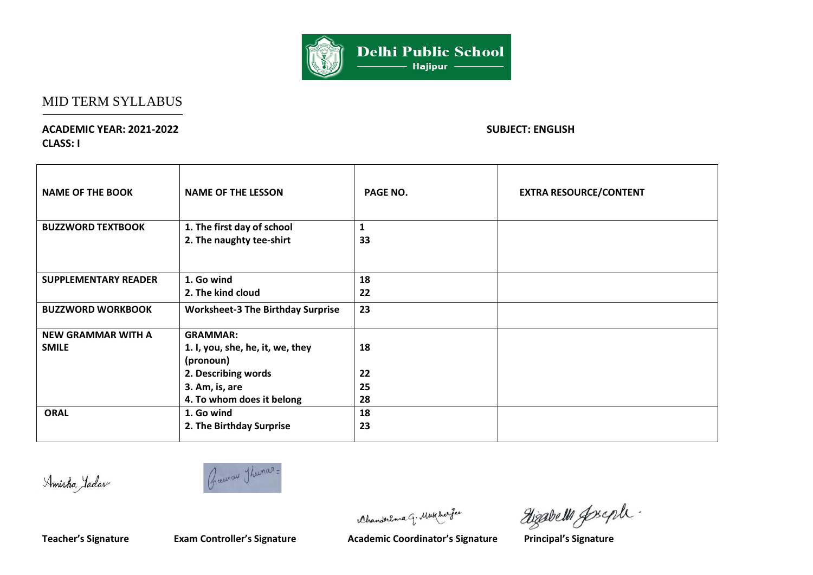

### **ACADEMIC YEAR: 2021-2022 SUBJECT: ENGLISH CLASS: I**

| <b>NAME OF THE BOOK</b>                   | <b>NAME OF THE LESSON</b>                                                                                                              | PAGE NO.             | <b>EXTRA RESOURCE/CONTENT</b> |
|-------------------------------------------|----------------------------------------------------------------------------------------------------------------------------------------|----------------------|-------------------------------|
| <b>BUZZWORD TEXTBOOK</b>                  | 1. The first day of school<br>2. The naughty tee-shirt                                                                                 | 1<br>33              |                               |
| <b>SUPPLEMENTARY READER</b>               | 1. Go wind<br>2. The kind cloud                                                                                                        | 18<br>22             |                               |
| <b>BUZZWORD WORKBOOK</b>                  | <b>Worksheet-3 The Birthday Surprise</b>                                                                                               | 23                   |                               |
| <b>NEW GRAMMAR WITH A</b><br><b>SMILE</b> | <b>GRAMMAR:</b><br>1. I, you, she, he, it, we, they<br>(pronoun)<br>2. Describing words<br>3. Am, is, are<br>4. To whom does it belong | 18<br>22<br>25<br>28 |                               |
| <b>ORAL</b>                               | 1. Go wind<br>2. The Birthday Surprise                                                                                                 | 18<br>23             |                               |

Amisha *Ladar* 



Ahanderema q. Mukherfee

dizabelli goseph.

**Teacher's Signature**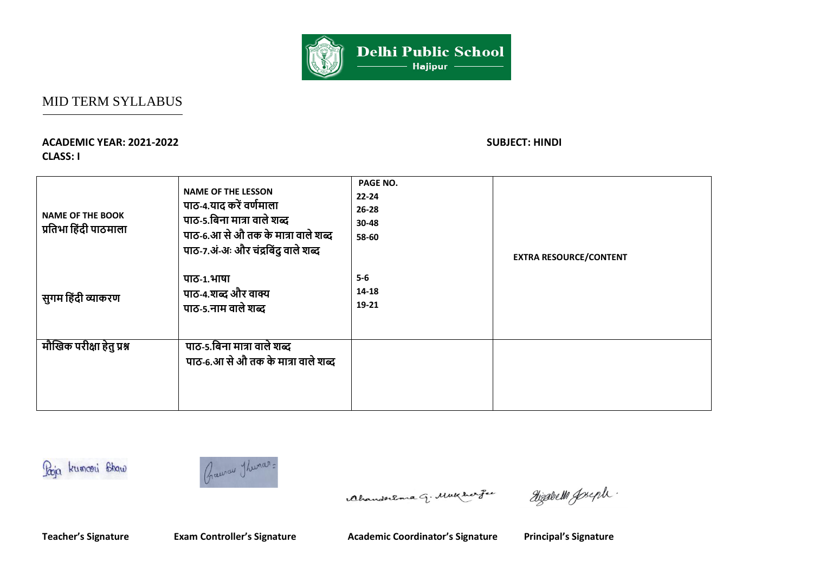

#### **ACADEMIC YEAR: 2021-2022 SUBJECT: HINDI CLASS: I**

| <b>NAME OF THE BOOK</b><br>प्रतिभा हिंदी पाठमाला | <b>NAME OF THE LESSON</b><br>पाठ-4.याद करें वर्णमाला<br>पाठ-5.बिना मात्रा वाले शब्द<br>पाठ-6.आ से औ तक के मात्रा वाले शब्द<br>पाठ-7.अं-अः और चंद्रबिंदु वाले शब्द | PAGE NO.<br>$22 - 24$<br>$26 - 28$<br>30-48<br>58-60 | <b>EXTRA RESOURCE/CONTENT</b> |
|--------------------------------------------------|-------------------------------------------------------------------------------------------------------------------------------------------------------------------|------------------------------------------------------|-------------------------------|
| सुगम हिंदी व्याकरण                               | पाठ-1.भाषा<br>पाठ-4.शब्द और वाक्य<br>पाठ-5.नाम वाले शब्द                                                                                                          | $5 - 6$<br>14-18<br>19-21                            |                               |
| मौखिक परीक्षा हेतु प्रश्न                        | पाठ-5.बिना मात्रा वाले शब्द<br>पाठ-6.आ से औ तक के मात्रा वाले शब्द                                                                                                |                                                      |                               |

Paja kumasi Bhaw



AhanderEma G. Mukhorfee

dizabelli goseph.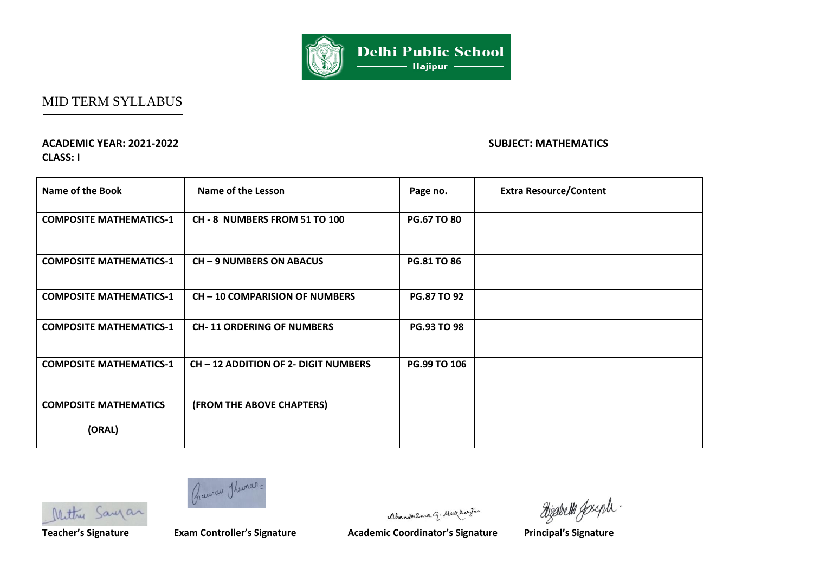

#### **ACADEMIC YEAR: 2021-2022 SUBJECT: MATHEMATICS CLASS: I**

| Name of the Book               | Name of the Lesson                          | Page no.           | <b>Extra Resource/Content</b> |
|--------------------------------|---------------------------------------------|--------------------|-------------------------------|
| <b>COMPOSITE MATHEMATICS-1</b> | CH - 8 NUMBERS FROM 51 TO 100               | <b>PG.67 TO 80</b> |                               |
| <b>COMPOSITE MATHEMATICS-1</b> | <b>CH - 9 NUMBERS ON ABACUS</b>             | <b>PG.81 TO 86</b> |                               |
| <b>COMPOSITE MATHEMATICS-1</b> | <b>CH – 10 COMPARISION OF NUMBERS</b>       | PG.87 TO 92        |                               |
| <b>COMPOSITE MATHEMATICS-1</b> | <b>CH-11 ORDERING OF NUMBERS</b>            | <b>PG.93 TO 98</b> |                               |
| <b>COMPOSITE MATHEMATICS-1</b> | <b>CH - 12 ADDITION OF 2- DIGIT NUMBERS</b> | PG.99 TO 106       |                               |
| <b>COMPOSITE MATHEMATICS</b>   | (FROM THE ABOVE CHAPTERS)                   |                    |                               |
| (ORAL)                         |                                             |                    |                               |





AhanderEma G. Mukherfee

dizabelh Joseph.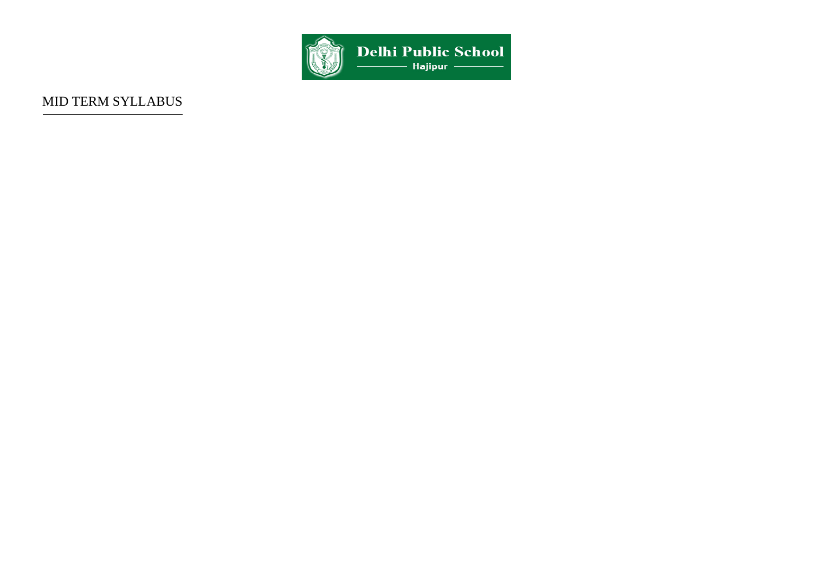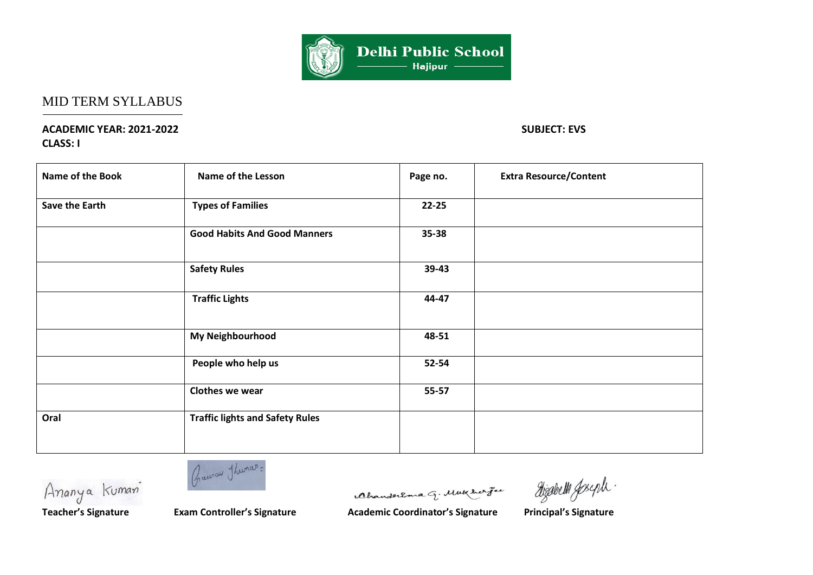

#### **ACADEMIC YEAR: 2021-2022 SUBJECT: EVS CLASS: I**

| <b>Name of the Book</b> | Name of the Lesson                     | Page no.  | <b>Extra Resource/Content</b> |
|-------------------------|----------------------------------------|-----------|-------------------------------|
| <b>Save the Earth</b>   | <b>Types of Families</b>               | $22 - 25$ |                               |
|                         | <b>Good Habits And Good Manners</b>    | 35-38     |                               |
|                         | <b>Safety Rules</b>                    | 39-43     |                               |
|                         | <b>Traffic Lights</b>                  | 44-47     |                               |
|                         | <b>My Neighbourhood</b>                | 48-51     |                               |
|                         | People who help us                     | 52-54     |                               |
|                         | Clothes we wear                        | 55-57     |                               |
| Oral                    | <b>Traffic lights and Safety Rules</b> |           |                               |

Ananya Kuman



AhanderEma G. Mukhorfee

digabelli geseph.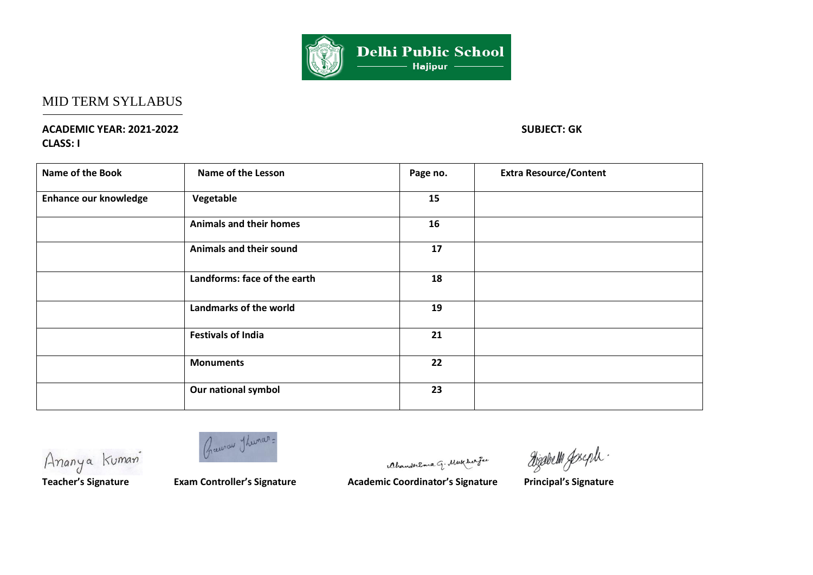

### **ACADEMIC YEAR: 2021-2022 SUBJECT: GK CLASS: I**

| <b>Name of the Book</b>      | Name of the Lesson             | Page no. | <b>Extra Resource/Content</b> |
|------------------------------|--------------------------------|----------|-------------------------------|
| <b>Enhance our knowledge</b> | Vegetable                      | 15       |                               |
|                              | <b>Animals and their homes</b> | 16       |                               |
|                              | Animals and their sound        | 17       |                               |
|                              | Landforms: face of the earth   | 18       |                               |
|                              | Landmarks of the world         | 19       |                               |
|                              | <b>Festivals of India</b>      | 21       |                               |
|                              | <b>Monuments</b>               | 22       |                               |
|                              | Our national symbol            | 23       |                               |

Ananya Kuman



Ahanderena G. Mukher fee

Hizabelli Joseph.